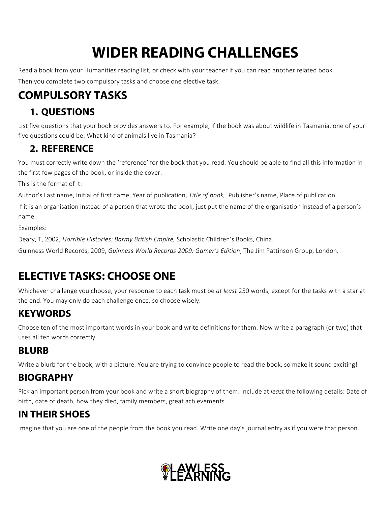# **WIDER READING CHALLENGES**

Read a book from your Humanities reading list, or check with your teacher if you can read another related book. Then you complete two compulsory tasks and choose one elective task.

# **COMPULSORY TASKS**

#### **1. QUESTIONS**

List five questions that your book provides answers to. For example, if the book was about wildlife in Tasmania, one of your five questions could be: What kind of animals live in Tasmania?

#### **2. REFERENCE**

You must correctly write down the 'reference' for the book that you read. You should be able to find all this information in the first few pages of the book, or inside the cover.

This is the format of it:

Author's Last name, Initial of first name, Year of publication, *Title of book*, Publisher's name, Place of publication.

If it is an organisation instead of a person that wrote the book, just put the name of the organisation instead of a person's name.

Examples:

Deary, T, 2002, *Horrible Histories: Barmy British Empire, Scholastic Children's Books, China.* 

Guinness World Records, 2009, Guinness World Records 2009: Gamer's Edition, The Jim Pattinson Group, London.

# **ELECTIVE TASKS: CHOOSE ONE**

Whichever challenge you choose, your response to each task must be at least 250 words, except for the tasks with a star at the end. You may only do each challenge once, so choose wisely.

#### **KEYWORDS**

Choose ten of the most important words in your book and write definitions for them. Now write a paragraph (or two) that uses all ten words correctly.

#### **BLURB**

Write a blurb for the book, with a picture. You are trying to convince people to read the book, so make it sound exciting!

#### **BIOGRAPHY**

Pick an important person from your book and write a short biography of them. Include at *least* the following details: Date of birth, date of death, how they died, family members, great achievements.

#### **IN THEIR SHOES**

Imagine that you are one of the people from the book you read. Write one day's journal entry as if you were that person.